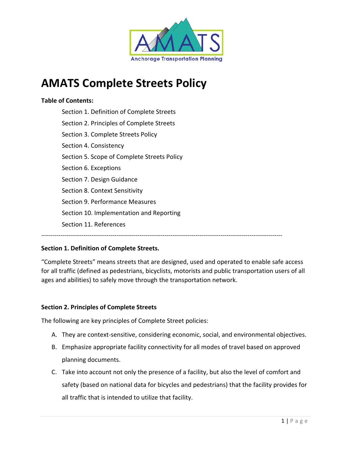

# **AMATS Complete Streets Policy**

#### **Table of Contents:**

Section 1. Definition of Complete Streets Section 2. Principles of Complete Streets Section 3. Complete Streets Policy Section 4. Consistency Section 5. Scope of Complete Streets Policy Section 6. Exceptions Section 7. Design Guidance Section 8. Context Sensitivity Section 9. Performance Measures Section 10. Implementation and Reporting Section 11. References

#### **Section 1. Definition of Complete Streets.**

"Complete Streets" means streets that are designed, used and operated to enable safe access for all traffic (defined as pedestrians, bicyclists, motorists and public transportation users of all ages and abilities) to safely move through the transportation network.

‐‐‐‐‐‐‐‐‐‐‐‐‐‐‐‐‐‐‐‐‐‐‐‐‐‐‐‐‐‐‐‐‐‐‐‐‐‐‐‐‐‐‐‐‐‐‐‐‐‐‐‐‐‐‐‐‐‐‐‐‐‐‐‐‐‐‐‐‐‐‐‐‐‐‐‐‐‐‐‐‐‐‐‐‐‐‐‐‐‐‐‐‐‐‐‐‐‐‐‐‐‐‐‐‐‐‐‐‐‐‐‐‐‐‐‐‐‐‐‐‐‐‐‐‐

#### **Section 2. Principles of Complete Streets**

The following are key principles of Complete Street policies:

- A. They are context-sensitive, considering economic, social, and environmental objectives.
- B. Emphasize appropriate facility connectivity for all modes of travel based on approved planning documents.
- C. Take into account not only the presence of a facility, but also the level of comfort and safety (based on national data for bicycles and pedestrians) that the facility provides for all traffic that is intended to utilize that facility.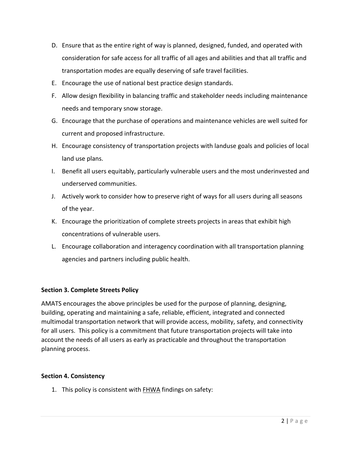- D. Ensure that as the entire right of way is planned, designed, funded, and operated with consideration for safe access for all traffic of all ages and abilities and that all traffic and transportation modes are equally deserving of safe travel facilities.
- E. Encourage the use of national best practice design standards.
- F. Allow design flexibility in balancing traffic and stakeholder needs including maintenance needs and temporary snow storage.
- G. Encourage that the purchase of operations and maintenance vehicles are well suited for current and proposed infrastructure.
- H. Encourage consistency of transportation projects with landuse goals and policies of local land use plans.
- I. Benefit all users equitably, particularly vulnerable users and the most underinvested and underserved communities.
- J. Actively work to consider how to preserve right of ways for all users during all seasons of the year.
- K. Encourage the prioritization of complete streets projects in areas that exhibit high concentrations of vulnerable users.
- L. Encourage collaboration and interagency coordination with all transportation planning agencies and partners including public health.

## **Section 3. Complete Streets Policy**

AMATS encourages the above principles be used for the purpose of planning, designing, building, operating and maintaining a safe, reliable, efficient, integrated and connected multimodal transportation network that will provide access, mobility, safety, and connectivity for all users. This policy is a commitment that future transportation projects will take into account the needs of all users as early as practicable and throughout the transportation planning process.

#### **Section 4. Consistency**

1. This policy is consistent with FHWA findings on safety: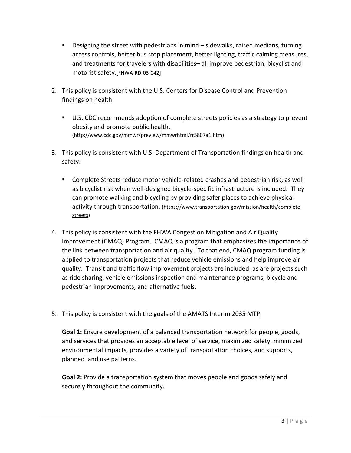- Designing the street with pedestrians in mind sidewalks, raised medians, turning access controls, better bus stop placement, better lighting, traffic calming measures, and treatments for travelers with disabilities– all improve pedestrian, bicyclist and motorist safety.[FHWA‐RD‐03‐042]
- 2. This policy is consistent with the U.S. Centers for Disease Control and Prevention findings on health:
	- U.S. CDC recommends adoption of complete streets policies as a strategy to prevent obesity and promote public health. (http://www.cdc.gov/mmwr/preview/mmwrhtml/rr5807a1.htm)
- 3. This policy is consistent with U.S. Department of Transportation findings on health and safety:
	- Complete Streets reduce motor vehicle-related crashes and pedestrian risk, as well as bicyclist risk when well-designed bicycle-specific infrastructure is included. They can promote walking and bicycling by providing safer places to achieve physical activity through transportation. (https://www.transportation.gov/mission/health/complete‐ streets)
- 4. This policy is consistent with the FHWA Congestion Mitigation and Air Quality Improvement (CMAQ) Program. CMAQ is a program that emphasizes the importance of the link between transportation and air quality. To that end, CMAQ program funding is applied to transportation projects that reduce vehicle emissions and help improve air quality. Transit and traffic flow improvement projects are included, as are projects such as ride sharing, vehicle emissions inspection and maintenance programs, bicycle and pedestrian improvements, and alternative fuels.
- 5. This policy is consistent with the goals of the AMATS Interim 2035 MTP:

**Goal 1:** Ensure development of a balanced transportation network for people, goods, and services that provides an acceptable level of service, maximized safety, minimized environmental impacts, provides a variety of transportation choices, and supports, planned land use patterns.

**Goal 2:** Provide a transportation system that moves people and goods safely and securely throughout the community.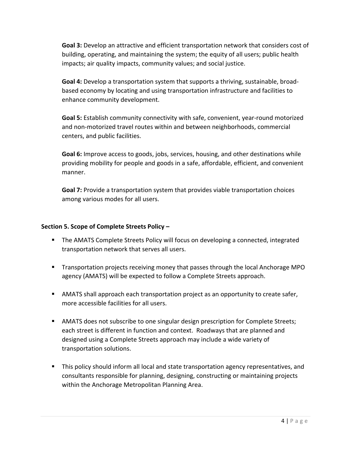**Goal 3:** Develop an attractive and efficient transportation network that considers cost of building, operating, and maintaining the system; the equity of all users; public health impacts; air quality impacts, community values; and social justice.

**Goal 4:** Develop a transportation system that supports a thriving, sustainable, broad‐ based economy by locating and using transportation infrastructure and facilities to enhance community development.

**Goal 5:** Establish community connectivity with safe, convenient, year‐round motorized and non‐motorized travel routes within and between neighborhoods, commercial centers, and public facilities.

**Goal 6:** Improve access to goods, jobs, services, housing, and other destinations while providing mobility for people and goods in a safe, affordable, efficient, and convenient manner.

**Goal 7:** Provide a transportation system that provides viable transportation choices among various modes for all users.

### **Section 5. Scope of Complete Streets Policy –**

- The AMATS Complete Streets Policy will focus on developing a connected, integrated transportation network that serves all users.
- **Transportation projects receiving money that passes through the local Anchorage MPO** agency (AMATS) will be expected to follow a Complete Streets approach.
- AMATS shall approach each transportation project as an opportunity to create safer, more accessible facilities for all users.
- AMATS does not subscribe to one singular design prescription for Complete Streets; each street is different in function and context. Roadways that are planned and designed using a Complete Streets approach may include a wide variety of transportation solutions.
- **This policy should inform all local and state transportation agency representatives, and** consultants responsible for planning, designing, constructing or maintaining projects within the Anchorage Metropolitan Planning Area.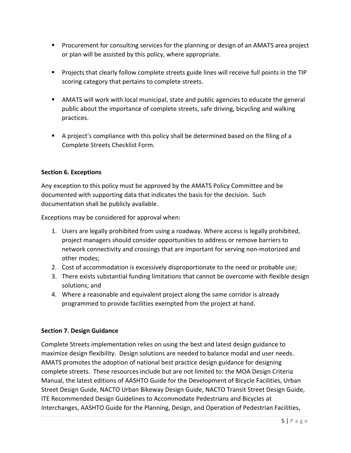- **Procurement for consulting services for the planning or design of an AMATS area project** or plan will be assisted by this policy, where appropriate.
- **Projects that clearly follow complete streets guide lines will receive full points in the TIP** scoring category that pertains to complete streets.
- AMATS will work with local municipal, state and public agencies to educate the general public about the importance of complete streets, safe driving, bicycling and walking practices.
- A project's compliance with this policy shall be determined based on the filing of a Complete Streets Checklist Form.

#### **Section 6. Exceptions**

Any exception to this policy must be approved by the AMATS Policy Committee and be documented with supporting data that indicates the basis for the decision. Such documentation shall be publicly available.

Exceptions may be considered for approval when:

- 1. Users are legally prohibited from using a roadway. Where access is legally prohibited, project managers should consider opportunities to address or remove barriers to network connectivity and crossings that are important for serving non‐motorized and other modes;
- 2. Cost of accommodation is excessively disproportionate to the need or probable use;
- 3. There exists substantial funding limitations that cannot be overcome with flexible design solutions; and
- 4. Where a reasonable and equivalent project along the same corridor is already programmed to provide facilities exempted from the project at hand.

## **Section 7. Design Guidance**

Complete Streets implementation relies on using the best and latest design guidance to maximize design flexibility. Design solutions are needed to balance modal and user needs. AMATS promotes the adoption of national best practice design guidance for designing complete streets. These resources include but are not limited to: the MOA Design Criteria Manual, the latest editions of AASHTO Guide for the Development of Bicycle Facilities, Urban Street Design Guide, NACTO Urban Bikeway Design Guide, NACTO Transit Street Design Guide, ITE Recommended Design Guidelines to Accommodate Pedestrians and Bicycles at Interchanges, AASHTO Guide for the Planning, Design, and Operation of Pedestrian Facilities,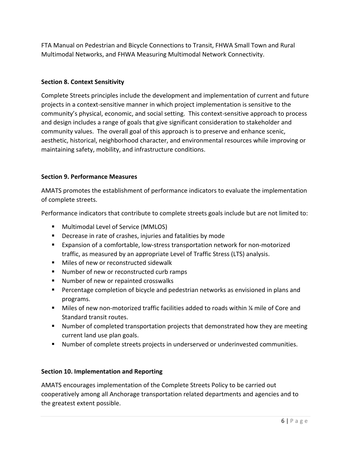FTA Manual on Pedestrian and Bicycle Connections to Transit, FHWA Small Town and Rural Multimodal Networks, and FHWA Measuring Multimodal Network Connectivity.

## **Section 8. Context Sensitivity**

Complete Streets principles include the development and implementation of current and future projects in a context‐sensitive manner in which project implementation is sensitive to the community's physical, economic, and social setting. This context‐sensitive approach to process and design includes a range of goals that give significant consideration to stakeholder and community values. The overall goal of this approach is to preserve and enhance scenic, aesthetic, historical, neighborhood character, and environmental resources while improving or maintaining safety, mobility, and infrastructure conditions.

## **Section 9. Performance Measures**

AMATS promotes the establishment of performance indicators to evaluate the implementation of complete streets.

Performance indicators that contribute to complete streets goals include but are not limited to:

- **Multimodal Level of Service (MMLOS)**
- **Decrease in rate of crashes, injuries and fatalities by mode**
- Expansion of a comfortable, low-stress transportation network for non-motorized traffic, as measured by an appropriate Level of Traffic Stress (LTS) analysis.
- **Miles of new or reconstructed sidewalk**
- Number of new or reconstructed curb ramps
- Number of new or repainted crosswalks
- **Percentage completion of bicycle and pedestrian networks as envisioned in plans and** programs.
- Miles of new non-motorized traffic facilities added to roads within ¼ mile of Core and Standard transit routes.
- Number of completed transportation projects that demonstrated how they are meeting current land use plan goals.
- Number of complete streets projects in underserved or underinvested communities.

## **Section 10. Implementation and Reporting**

AMATS encourages implementation of the Complete Streets Policy to be carried out cooperatively among all Anchorage transportation related departments and agencies and to the greatest extent possible.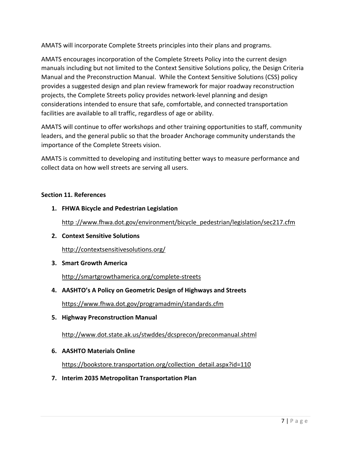AMATS will incorporate Complete Streets principles into their plans and programs.

AMATS encourages incorporation of the Complete Streets Policy into the current design manuals including but not limited to the Context Sensitive Solutions policy, the Design Criteria Manual and the Preconstruction Manual. While the Context Sensitive Solutions (CSS) policy provides a suggested design and plan review framework for major roadway reconstruction projects, the Complete Streets policy provides network‐level planning and design considerations intended to ensure that safe, comfortable, and connected transportation facilities are available to all traffic, regardless of age or ability.

AMATS will continue to offer workshops and other training opportunities to staff, community leaders, and the general public so that the broader Anchorage community understands the importance of the Complete Streets vision.

AMATS is committed to developing and instituting better ways to measure performance and collect data on how well streets are serving all users.

## **Section 11. References**

**1. FHWA Bicycle and Pedestrian Legislation** 

http ://www.fhwa.dot.gov/environment/bicycle\_pedestrian/legislation/sec217.cfm

**2. Context Sensitive Solutions**

http://contextsensitivesolutions.org/

**3. Smart Growth America**

http://smartgrowthamerica.org/complete‐streets

**4. AASHTO's A Policy on Geometric Design of Highways and Streets**

https://www.fhwa.dot.gov/programadmin/standards.cfm

**5. Highway Preconstruction Manual**

http://www.dot.state.ak.us/stwddes/dcsprecon/preconmanual.shtml

## **6. AASHTO Materials Online**

https://bookstore.transportation.org/collection\_detail.aspx?id=110

**7. Interim 2035 Metropolitan Transportation Plan**